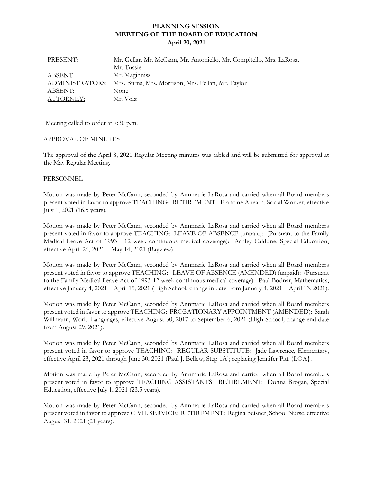# **PLANNING SESSION MEETING OF THE BOARD OF EDUCATION April 20, 2021**

| PRESENT:               | Mr. Gellar, Mr. McCann, Mr. Antoniello, Mr. Compitello, Mrs. LaRosa, |
|------------------------|----------------------------------------------------------------------|
|                        | Mr. Tussie                                                           |
| ABSENT                 | Mr. Maginniss                                                        |
| <b>ADMINISTRATORS:</b> | Mrs. Burns, Mrs. Morrison, Mrs. Pellati, Mr. Taylor                  |
| ABSENT:                | None                                                                 |
| ATTORNEY:              | Mr. Volz                                                             |

Meeting called to order at 7:30 p.m.

#### APPROVAL OF MINUTES

The approval of the April 8, 2021 Regular Meeting minutes was tabled and will be submitted for approval at the May Regular Meeting.

#### **PERSONNEL**

Motion was made by Peter McCann, seconded by Annmarie LaRosa and carried when all Board members present voted in favor to approve TEACHING: RETIREMENT: Francine Ahearn, Social Worker, effective July 1, 2021 (16.5 years).

Motion was made by Peter McCann, seconded by Annmarie LaRosa and carried when all Board members present voted in favor to approve TEACHING: LEAVE OF ABSENCE (unpaid): (Pursuant to the Family Medical Leave Act of 1993 - 12 week continuous medical coverage): Ashley Caldone, Special Education, effective April 26, 2021 – May 14, 2021 (Bayview).

Motion was made by Peter McCann, seconded by Annmarie LaRosa and carried when all Board members present voted in favor to approve TEACHING: LEAVE OF ABSENCE (AMENDED) (unpaid): (Pursuant to the Family Medical Leave Act of 1993-12 week continuous medical coverage): Paul Bodnar, Mathematics, effective January 4, 2021 – April 15, 2021 (High School; change in date from January 4, 2021 – April 13, 2021).

Motion was made by Peter McCann, seconded by Annmarie LaRosa and carried when all Board members present voted in favor to approve TEACHING: PROBATIONARY APPOINTMENT (AMENDED): Sarah Willmann, World Languages, effective August 30, 2017 to September 6, 2021 (High School; change end date from August 29, 2021).

Motion was made by Peter McCann, seconded by Annmarie LaRosa and carried when all Board members present voted in favor to approve TEACHING: REGULAR SUBSTITUTE: Jade Lawrence, Elementary, effective April 23, 2021 through June 30, 2021 (Paul J. Bellew; Step 1A1; replacing Jennifer Pitt {LOA}.

 Motion was made by Peter McCann, seconded by Annmarie LaRosa and carried when all Board members present voted in favor to approve TEACHING ASSISTANTS: RETIREMENT: Donna Brogan, Special Education, effective July 1, 2021 (23.5 years).

Motion was made by Peter McCann, seconded by Annmarie LaRosa and carried when all Board members present voted in favor to approve CIVIL SERVICE: RETIREMENT: Regina Beisner, School Nurse, effective August 31, 2021 (21 years).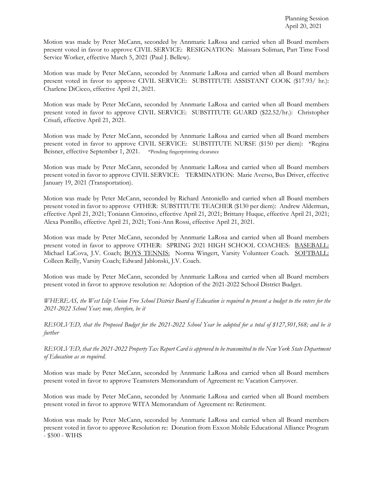Motion was made by Peter McCann, seconded by Annmarie LaRosa and carried when all Board members present voted in favor to approve CIVIL SERVICE: RESIGNATION: Maissara Soliman, Part Time Food Service Worker, effective March 5, 2021 (Paul J. Bellew).

Motion was made by Peter McCann, seconded by Annmarie LaRosa and carried when all Board members present voted in favor to approve CIVIL SERVICE: SUBSTITUTE ASSISTANT COOK (\$17.93/ hr.): Charlene DiCicco, effective April 21, 2021.

Motion was made by Peter McCann, seconded by Annmarie LaRosa and carried when all Board members present voted in favor to approve CIVIL SERVICE: SUBSTITUTE GUARD (\$22.52/hr.): Christopher Crisafi, effective April 21, 2021.

Motion was made by Peter McCann, seconded by Annmarie LaRosa and carried when all Board members present voted in favor to approve CIVIL SERVICE: SUBSTITUTE NURSE (\$150 per diem): \*Regina Beisner, effective September 1, 2021. \*Pending fingerprinting clearance

Motion was made by Peter McCann, seconded by Annmarie LaRosa and carried when all Board members present voted in favor to approve CIVIL SERVICE: TERMINATION: Marie Averso, Bus Driver, effective January 19, 2021 (Transportation).

Motion was made by Peter McCann, seconded by Richard Antoniello and carried when all Board members present voted in favor to approve OTHER: SUBSTITUTE TEACHER (\$130 per diem): Andrew Alderman, effective April 21, 2021; Toniann Cintorino, effective April 21, 2021; Brittany Huque, effective April 21, 2021; Alexa Pontillo, effective April 21, 2021; Toni-Ann Rossi, effective April 21, 2021.

Motion was made by Peter McCann, seconded by Annmarie LaRosa and carried when all Board members present voted in favor to approve OTHER: SPRING 2021 HIGH SCHOOL COACHES: BASEBALL: Michael LaCova, J.V. Coach; BOYS TENNIS: Norma Wingert, Varsity Volunteer Coach. SOFTBALL: Colleen Reilly, Varsity Coach; Edward Jablonski, J.V. Coach.

Motion was made by Peter McCann, seconded by Annmarie LaRosa and carried when all Board members present voted in favor to approve resolution re: Adoption of the 2021-2022 School District Budget.

*WHEREAS, the West Islip Union Free School District Board of Education is required to present a budget to the voters for the 2021-2022 School Year; now, therefore, be it* 

*RESOLVED, that the Proposed Budget for the 2021-2022 School Year be adopted for a total of \$127,501,568; and be it further* 

*RESOLVED, that the 2021-2022 Property Tax Report Card is approved to be transmitted to the New York State Department of Education as so required.* 

Motion was made by Peter McCann, seconded by Annmarie LaRosa and carried when all Board members present voted in favor to approve Teamsters Memorandum of Agreement re: Vacation Carryover.

Motion was made by Peter McCann, seconded by Annmarie LaRosa and carried when all Board members present voted in favor to approve WITA Memorandum of Agreement re: Retirement.

Motion was made by Peter McCann, seconded by Annmarie LaRosa and carried when all Board members present voted in favor to approve Resolution re: Donation from Exxon Mobile Educational Alliance Program - \$500 - WIHS